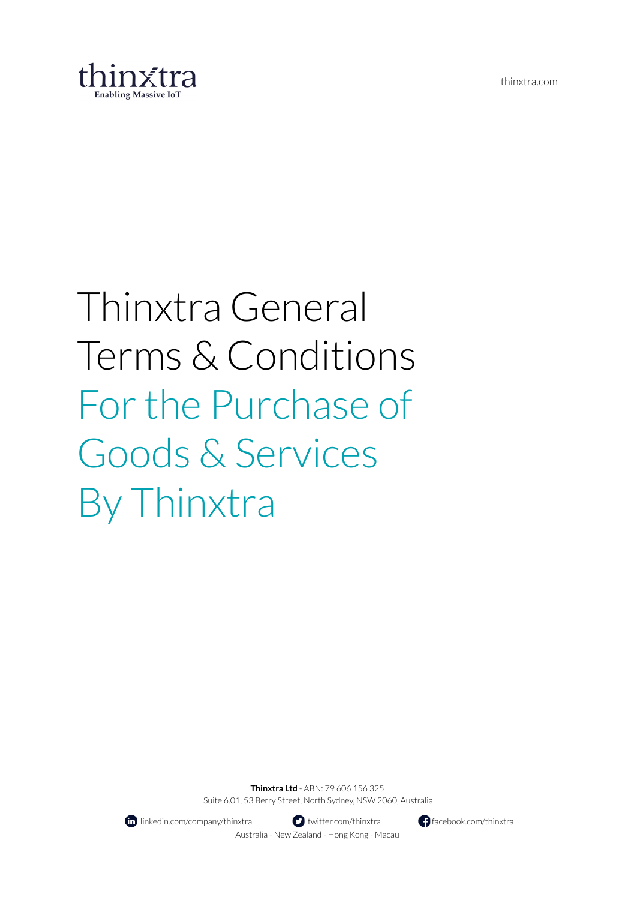thinxtra.com



# Thinxtra General Terms & Conditions Forthe Purchase of Goods & Services By Thinxtra

**Thinxtra Ltd** - ABN: 79 606 156 325 Suite 6.01, 53 Berry Street, North Sydney, NSW 2060, Australia



**II** linkedin.com/company/thinxtra **the set of the set of the set of the facebook.com/thinxtra facebook.com/thinxtra** Australia - New Zealand - Hong Kong - Macau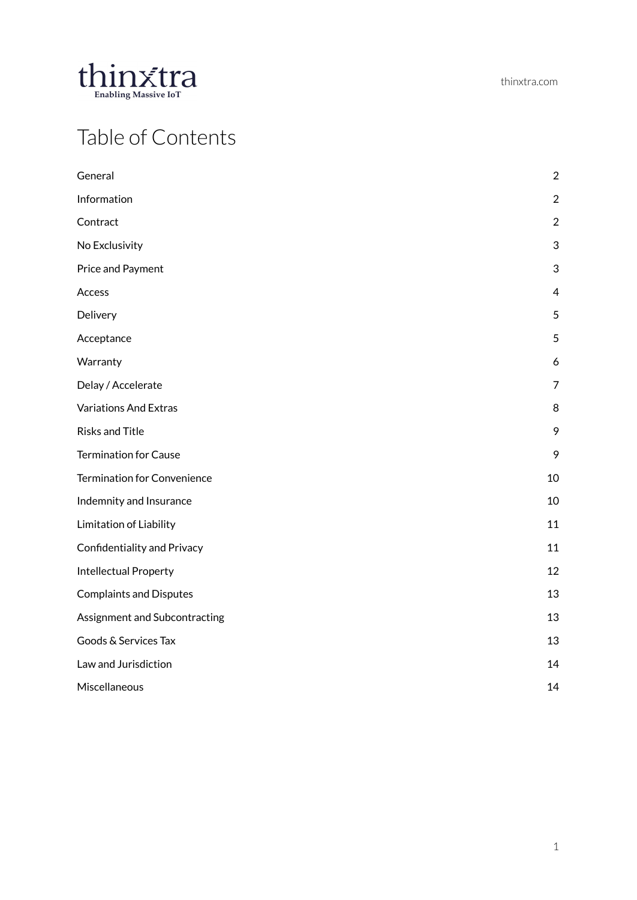

## Table of Contents

| General                        | $\overline{c}$ |
|--------------------------------|----------------|
| Information                    | $\overline{2}$ |
| Contract                       | $\overline{2}$ |
| No Exclusivity                 | 3              |
| Price and Payment              | 3              |
| Access                         | $\overline{4}$ |
| Delivery                       | 5              |
| Acceptance                     | 5              |
| Warranty                       | 6              |
| Delay / Accelerate             | $\overline{7}$ |
| <b>Variations And Extras</b>   | 8              |
| <b>Risks and Title</b>         | 9              |
| <b>Termination for Cause</b>   | 9              |
| Termination for Convenience    | 10             |
| Indemnity and Insurance        | 10             |
| Limitation of Liability        | 11             |
| Confidentiality and Privacy    | 11             |
| <b>Intellectual Property</b>   | 12             |
| <b>Complaints and Disputes</b> | 13             |
| Assignment and Subcontracting  | 13             |
| Goods & Services Tax           | 13             |
| Law and Jurisdiction           | 14             |
| Miscellaneous                  | 14             |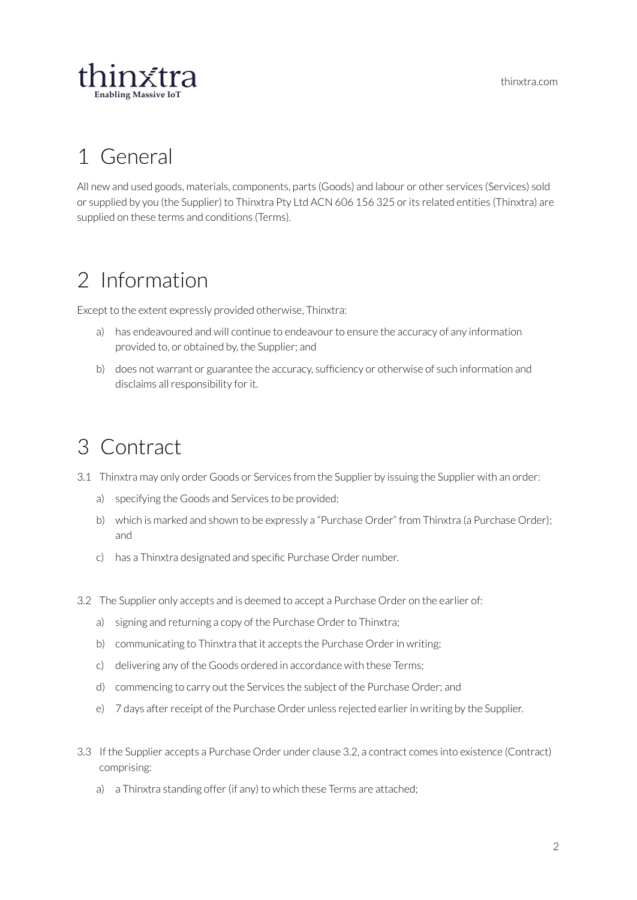thinxtra.com



## <span id="page-2-0"></span>1 General

All new and used goods, materials, components, parts (Goods) and labour or other services (Services) sold or supplied by you (the Supplier) to Thinxtra Pty Ltd ACN 606 156 325 or its related entities (Thinxtra) are supplied on these terms and conditions (Terms).

# <span id="page-2-1"></span>2 Information

Except to the extent expressly provided otherwise, Thinxtra:

- a) has endeavoured and will continue to endeavour to ensure the accuracy of any information provided to, or obtained by, the Supplier; and
- b) does not warrant or guarantee the accuracy, sufficiency or otherwise of such information and disclaims all responsibility for it.

## <span id="page-2-2"></span>3 Contract

- 3.1 Thinxtra may only order Goods or Services from the Supplier by issuing the Supplier with an order:
	- a) specifying the Goods and Services to be provided;
	- b) which is marked and shown to be expressly a "Purchase Order" from Thinxtra (a Purchase Order); and
	- c) has a Thinxtra designated and specific Purchase Order number.
- 3.2 The Supplier only accepts and is deemed to accept a Purchase Order on the earlier of:
	- a) signing and returning a copy of the Purchase Order to Thinxtra;
	- b) communicating to Thinxtra that it accepts the Purchase Order in writing;
	- c) delivering any of the Goods ordered in accordance with these Terms;
	- d) commencing to carry out the Services the subject of the Purchase Order; and
	- e) 7 days after receipt of the Purchase Order unless rejected earlier in writing by the Supplier.
- 3.3 If the Supplier accepts a Purchase Order under clause 3.2, a contract comes into existence (Contract) comprising:
	- a) a Thinxtra standing offer (if any) to which these Terms are attached;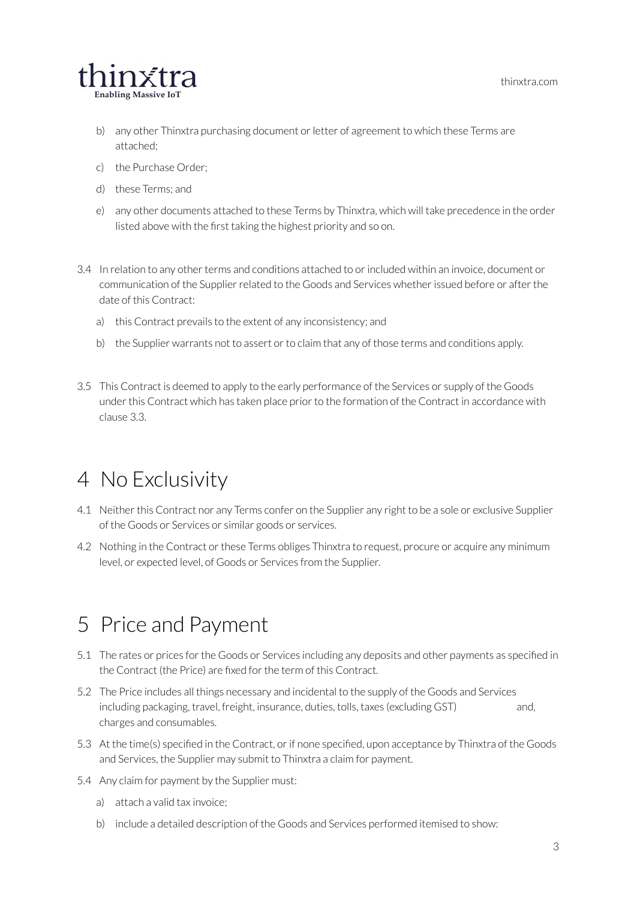thinxtra.com



- b) any other Thinxtra purchasing document or letter of agreement to which these Terms are attached;
- c) the Purchase Order;
- d) these Terms; and
- e) any other documents attached to these Terms by Thinxtra, which will take precedence in the order listed above with the first taking the highest priority and so on.
- 3.4 In relation to any other terms and conditions attached to or included within an invoice, document or communication of the Supplier related to the Goods and Services whether issued before or after the date of this Contract:
	- a) this Contract prevails to the extent of any inconsistency; and
	- b) the Supplier warrants not to assert or to claim that any of those terms and conditions apply.
- 3.5 This Contract is deemed to apply to the early performance of the Services or supply of the Goods under this Contract which has taken place prior to the formation of the Contract in accordance with clause 3.3.

#### <span id="page-3-0"></span>4 No Exclusivity

- 4.1 Neither this Contract nor any Terms confer on the Supplier any right to be a sole or exclusive Supplier of the Goods or Services or similar goods or services.
- 4.2 Nothing in the Contract or these Terms obliges Thinxtra to request, procure or acquire any minimum level, or expected level, of Goods or Services from the Supplier.

## <span id="page-3-1"></span>5 Price and Payment

- 5.1 The rates or prices forthe Goods or Services including any deposits and other payments as specified in the Contract (the Price) are fixed forthe term of this Contract.
- 5.2 The Price includes all things necessary and incidental to the supply of the Goods and Services including packaging, travel, freight, insurance, duties, tolls, taxes (excluding GST) and, charges and consumables.
- 5.3 At the time(s) specified in the Contract, or if none specified, upon acceptance by Thinxtra of the Goods and Services, the Supplier may submit to Thinxtra a claim for payment.
- 5.4 Any claim for payment by the Supplier must:
	- a) attach a valid tax invoice;
	- b) include a detailed description of the Goods and Services performed itemised to show: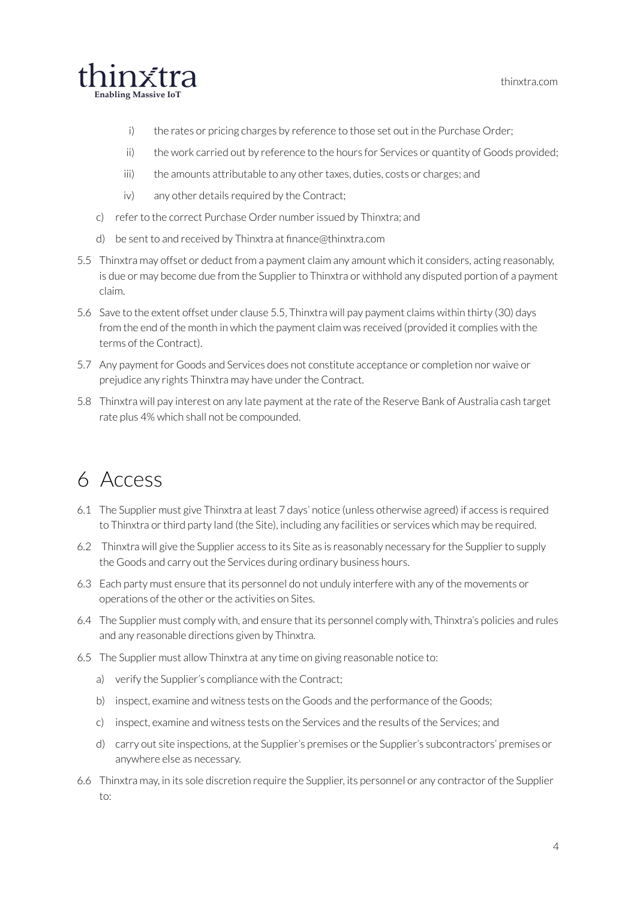

- i) the rates or pricing charges by reference to those set out in the Purchase Order;
- ii) the work carried out by reference to the hours for Services or quantity of Goods provided;
- iii) the amounts attributable to any other taxes, duties, costs or charges; and
- iv) any other details required by the Contract;
- c) refer to the correct Purchase Order number issued by Thinxtra; and
- d) be sent to and received by Thinxtra at finance@thinxtra.com
- 5.5 Thinxtra may offset or deduct from a payment claim any amount which it considers, acting reasonably, is due or may become due from the Supplier to Thinxtra or withhold any disputed portion of a payment claim.
- 5.6 Save to the extent offset under clause 5.5, Thinxtra will pay payment claims within thirty (30) days from the end of the month in which the payment claim was received (provided it complies with the terms of the Contract).
- 5.7 Any payment for Goods and Services does not constitute acceptance or completion nor waive or prejudice any rights Thinxtra may have under the Contract.
- 5.8 Thinxtra will pay interest on any late payment at the rate of the Reserve Bank of Australia cash target rate plus 4% which shall not be compounded.

#### <span id="page-4-0"></span>6 Access

- 6.1 The Supplier must give Thinxtra at least 7 days' notice (unless otherwise agreed) if access is required to Thinxtra or third party land (the Site), including any facilities or services which may be required.
- 6.2 Thinxtra will give the Supplier access to its Site as is reasonably necessary forthe Supplierto supply the Goods and carry out the Services during ordinary business hours.
- 6.3 Each party must ensure that its personnel do not unduly interfere with any of the movements or operations of the other or the activities on Sites.
- 6.4 The Supplier must comply with, and ensure that its personnel comply with, Thinxtra's policies and rules and any reasonable directions given by Thinxtra.
- 6.5 The Supplier must allow Thinxtra at any time on giving reasonable notice to:
	- a) verify the Supplier's compliance with the Contract;
	- b) inspect, examine and witness tests on the Goods and the performance of the Goods;
	- c) inspect, examine and witness tests on the Services and the results of the Services; and
	- d) carry out site inspections, at the Supplier's premises orthe Supplier's subcontractors' premises or anywhere else as necessary.
- 6.6 Thinxtra may, in its sole discretion require the Supplier, its personnel or any contractor of the Supplier to: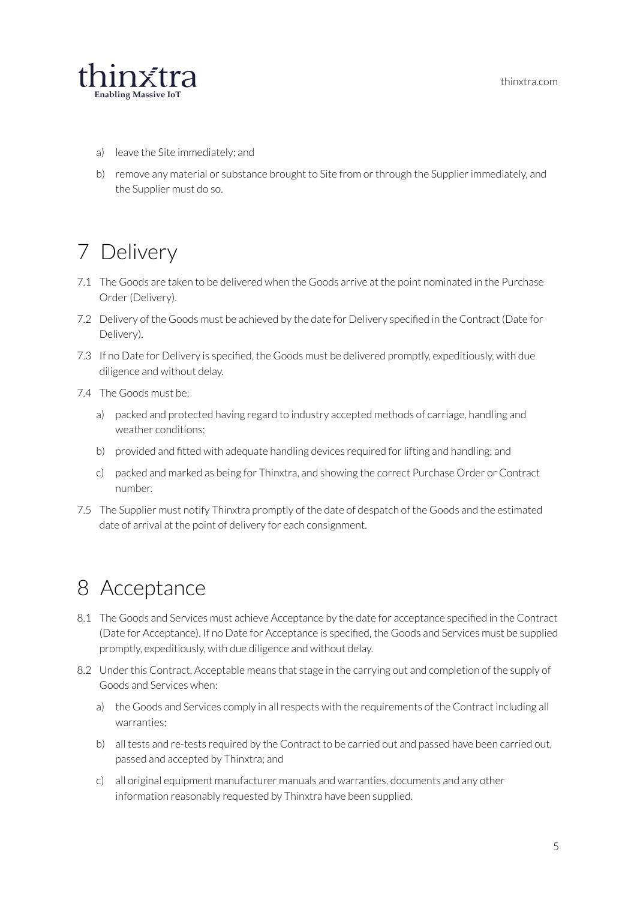

- a) leave the Site immediately; and
- b) remove any material or substance brought to Site from or through the Supplier immediately, and the Supplier must do so.

# <span id="page-5-0"></span>7 Delivery

- 7.1 The Goods are taken to be delivered when the Goods arrive at the point nominated in the Purchase Order (Delivery).
- 7.2 Delivery of the Goods must be achieved by the date for Delivery specified in the Contract (Date for Delivery).
- 7.3 If no Date for Delivery is specified, the Goods must be delivered promptly, expeditiously, with due diligence and without delay.
- 7.4 The Goods must be:
	- a) packed and protected having regard to industry accepted methods of carriage, handling and weather conditions;
	- b) provided and fitted with adequate handling devices required for lifting and handling; and
	- c) packed and marked as being for Thinxtra, and showing the correct Purchase Order or Contract number.
- 7.5 The Supplier must notify Thinxtra promptly of the date of despatch of the Goods and the estimated date of arrival at the point of delivery for each consignment.

#### <span id="page-5-1"></span>8 Acceptance

- 8.1 The Goods and Services must achieve Acceptance by the date for acceptance specified in the Contract (Date for Acceptance). If no Date for Acceptance is specified, the Goods and Services must be supplied promptly, expeditiously, with due diligence and without delay.
- 8.2 Under this Contract, Acceptable means that stage in the carrying out and completion of the supply of Goods and Services when:
	- a) the Goods and Services comply in all respects with the requirements of the Contract including all warranties;
	- b) all tests and re-tests required by the Contract to be carried out and passed have been carried out, passed and accepted by Thinxtra; and
	- c) all original equipment manufacturer manuals and warranties, documents and any other information reasonably requested by Thinxtra have been supplied.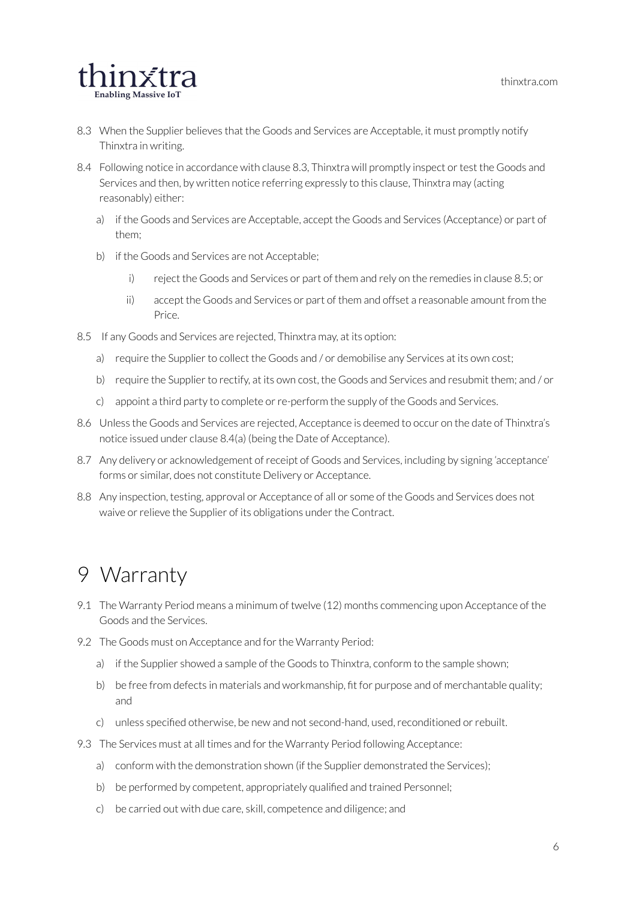

- 8.3 When the Supplier believes that the Goods and Services are Acceptable, it must promptly notify Thinxtra in writing.
- 8.4 Following notice in accordance with clause 8.3, Thinxtra will promptly inspect or test the Goods and Services and then, by written notice referring expressly to this clause, Thinxtra may (acting reasonably) either:
	- a) if the Goods and Services are Acceptable, accept the Goods and Services (Acceptance) or part of them;
	- b) if the Goods and Services are not Acceptable;
		- i) reject the Goods and Services or part of them and rely on the remedies in clause 8.5; or
		- ii) accept the Goods and Services or part of them and offset a reasonable amount from the Price.
- 8.5 If any Goods and Services are rejected, Thinxtra may, at its option:
	- a) require the Supplier to collect the Goods and / or demobilise any Services at its own cost;
	- b) require the Supplier to rectify, at its own cost, the Goods and Services and resubmit them; and / or
	- c) appoint a third party to complete orre-perform the supply of the Goods and Services.
- 8.6 Unless the Goods and Services are rejected, Acceptance is deemed to occur on the date of Thinxtra's notice issued under clause 8.4(a) (being the Date of Acceptance).
- 8.7 Any delivery or acknowledgement of receipt of Goods and Services, including by signing 'acceptance' forms or similar, does not constitute Delivery or Acceptance.
- 8.8 Any inspection, testing, approval or Acceptance of all or some of the Goods and Services does not waive or relieve the Supplier of its obligations under the Contract.

#### <span id="page-6-0"></span>9 Warranty

- 9.1 The Warranty Period means a minimum of twelve (12) months commencing upon Acceptance of the Goods and the Services.
- 9.2 The Goods must on Acceptance and for the Warranty Period:
	- a) if the Supplier showed a sample of the Goods to Thinxtra, conform to the sample shown;
	- b) be free from defects in materials and workmanship, fit for purpose and of merchantable quality; and
	- c) unless specified otherwise, be new and not second-hand, used, reconditioned or rebuilt.
- 9.3 The Services must at all times and for the Warranty Period following Acceptance:
	- a) conform with the demonstration shown (if the Supplier demonstrated the Services);
	- b) be performed by competent, appropriately qualified and trained Personnel;
	- c) be carried out with due care, skill, competence and diligence; and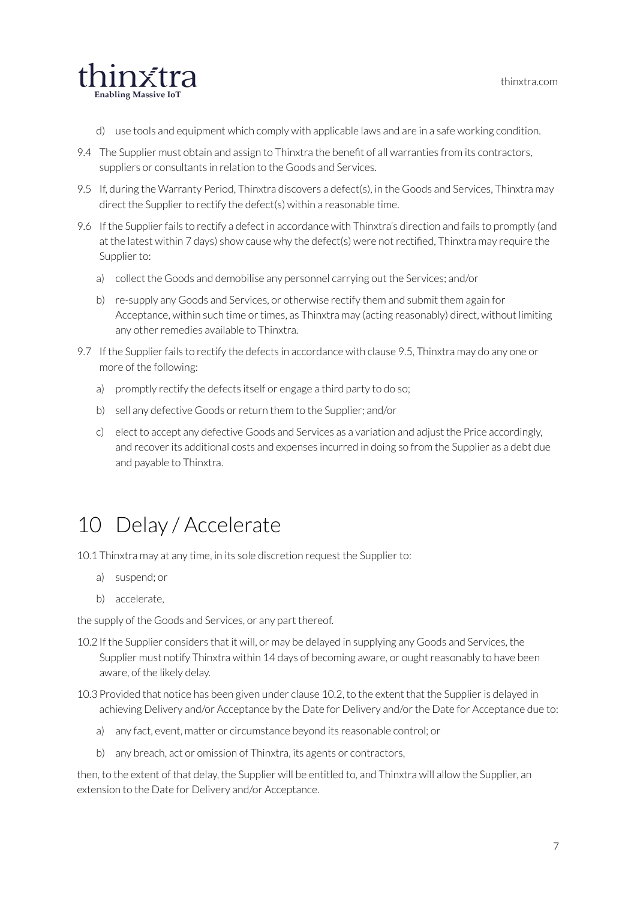

- d) use tools and equipment which comply with applicable laws and are in a safe working condition.
- 9.4 The Supplier must obtain and assign to Thinxtra the benefit of all warranties from its contractors, suppliers or consultants in relation to the Goods and Services.
- 9.5 If, during the Warranty Period, Thinxtra discovers a defect(s), in the Goods and Services, Thinxtra may direct the Supplier to rectify the defect(s) within a reasonable time.
- 9.6 If the Supplier fails to rectify a defect in accordance with Thinxtra's direction and fails to promptly (and at the latest within 7 days) show cause why the defect(s) were not rectified. Thinxtra may require the Supplier to:
	- a) collect the Goods and demobilise any personnel carrying out the Services; and/or
	- b) re-supply any Goods and Services, or otherwise rectify them and submit them again for Acceptance, within such time or times, as Thinxtra may (acting reasonably) direct, without limiting any other remedies available to Thinxtra.
- 9.7 If the Supplier fails to rectify the defects in accordance with clause 9.5, Thinxtra may do any one or more of the following:
	- a) promptly rectify the defects itself or engage a third party to do so;
	- b) sell any defective Goods or return them to the Supplier; and/or
	- c) elect to accept any defective Goods and Services as a variation and adjust the Price accordingly, and recover its additional costs and expenses incurred in doing so from the Supplier as a debt due and payable to Thinxtra.

## <span id="page-7-0"></span>10 Delay / Accelerate

10.1 Thinxtra may at any time, in its sole discretion request the Supplier to:

- a) suspend; or
- b) accelerate,

the supply of the Goods and Services, or any part thereof.

- 10.2 If the Supplier considers that it will, or may be delayed in supplying any Goods and Services, the Supplier must notify Thinxtra within 14 days of becoming aware, or ought reasonably to have been aware, of the likely delay.
- 10.3 Provided that notice has been given under clause 10.2, to the extent that the Supplieris delayed in achieving Delivery and/or Acceptance by the Date for Delivery and/orthe Date for Acceptance due to:
	- a) any fact, event, matter or circumstance beyond its reasonable control; or
	- b) any breach, act or omission of Thinxtra, its agents or contractors,

then, to the extent of that delay, the Supplier will be entitled to, and Thinxtra will allow the Supplier, an extension to the Date for Delivery and/or Acceptance.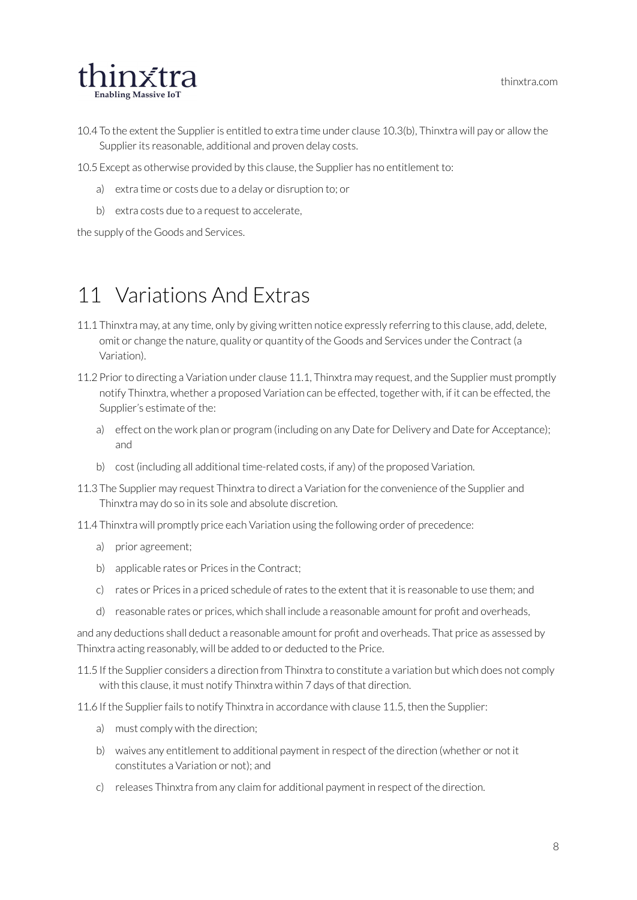

- 10.4 To the extent the Supplier is entitled to extra time under clause 10.3(b), Thinxtra will pay or allow the Supplier its reasonable, additional and proven delay costs.
- 10.5 Except as otherwise provided by this clause, the Supplier has no entitlement to:
	- a) extra time or costs due to a delay or disruption to; or
	- b) extra costs due to a request to accelerate,

the supply of the Goods and Services.

#### <span id="page-8-0"></span>11 Variations And Extras

- 11.1 Thinxtra may, at any time, only by giving written notice expressly referring to this clause, add, delete, omit or change the nature, quality or quantity of the Goods and Services underthe Contract (a Variation).
- 11.2 Prior to directing a Variation under clause 11.1, Thinxtra may request, and the Supplier must promptly notify Thinxtra, whether a proposed Variation can be effected, together with, if it can be effected, the Supplier's estimate of the:
	- a) effect on the work plan or program (including on any Date for Delivery and Date for Acceptance); and
	- b) cost (including all additional time-related costs, if any) of the proposed Variation.
- 11.3 The Supplier may request Thinxtra to direct a Variation for the convenience of the Supplier and Thinxtra may do so in its sole and absolute discretion.
- 11.4 Thinxtra will promptly price each Variation using the following order of precedence:
	- a) prior agreement;
	- b) applicable rates or Prices in the Contract;
	- c) rates or Prices in a priced schedule ofrates to the extent that it is reasonable to use them; and
	- d) reasonable rates or prices, which shall include a reasonable amount for profit and overheads,

and any deductions shall deduct a reasonable amount for profit and overheads. That price as assessed by Thinxtra acting reasonably, will be added to or deducted to the Price.

- 11.5 If the Supplier considers a direction from Thinxtra to constitute a variation but which does not comply with this clause, it must notify Thinxtra within 7 days of that direction.
- 11.6 If the Supplier fails to notify Thinxtra in accordance with clause 11.5, then the Supplier:
	- a) must comply with the direction;
	- b) waives any entitlement to additional payment in respect of the direction (whether or not it constitutes a Variation or not); and
	- c) releases Thinxtra from any claim for additional payment in respect of the direction.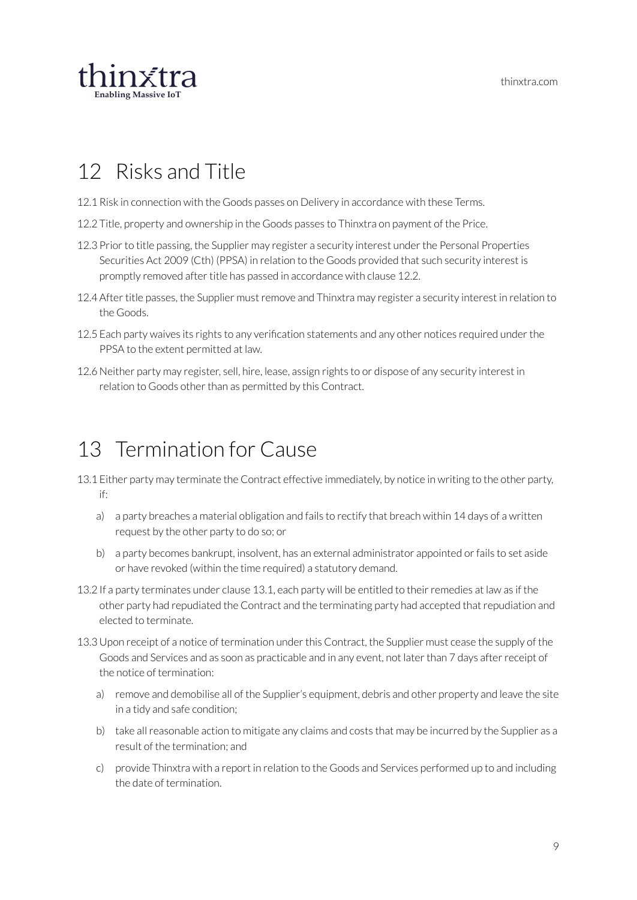

#### <span id="page-9-0"></span>12 Risks and Title

- 12.1 Risk in connection with the Goods passes on Delivery in accordance with these Terms.
- 12.2 Title, property and ownership in the Goods passes to Thinxtra on payment of the Price.
- 12.3 Prior to title passing, the Supplier may register a security interest under the Personal Properties Securities Act 2009 (Cth) (PPSA) in relation to the Goods provided that such security interest is promptly removed after title has passed in accordance with clause 12.2.
- 12.4 After title passes, the Supplier must remove and Thinxtra may register a security interest in relation to the Goods.
- 12.5 Each party waives its rights to any verification statements and any other notices required under the PPSA to the extent permitted at law.
- 12.6 Neither party may register, sell, hire, lease, assign rights to or dispose of any security interest in relation to Goods other than as permitted by this Contract.

#### <span id="page-9-1"></span>13 Termination for Cause

- 13.1 Either party may terminate the Contract effective immediately, by notice in writing to the other party, if:
	- a) a party breaches a material obligation and fails to rectify that breach within 14 days of a written request by the other party to do so; or
	- b) a party becomes bankrupt, insolvent, has an external administrator appointed or fails to set aside or have revoked (within the time required) a statutory demand.
- 13.2 If a party terminates under clause 13.1, each party will be entitled to their remedies at law as if the other party had repudiated the Contract and the terminating party had accepted thatrepudiation and elected to terminate.
- 13.3 Upon receipt of a notice of termination under this Contract, the Supplier must cease the supply of the Goods and Services and as soon as practicable and in any event, not later than 7 days after receipt of the notice of termination:
	- a) remove and demobilise all of the Supplier's equipment, debris and other property and leave the site in a tidy and safe condition;
	- b) take allreasonable action to mitigate any claims and costs that may be incurred by the Supplier as a result of the termination; and
	- c) provide Thinxtra with a report in relation to the Goods and Services performed up to and including the date of termination.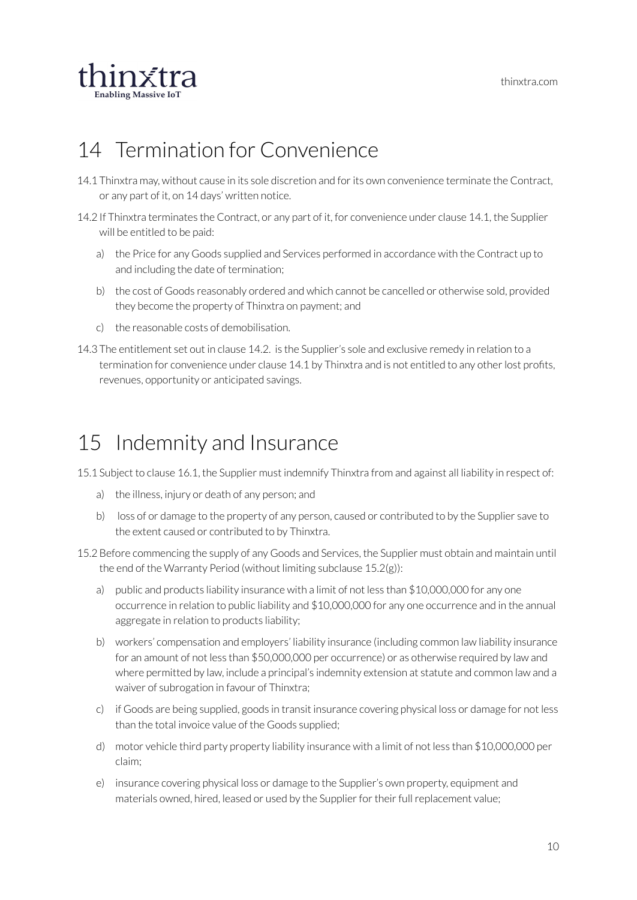

## <span id="page-10-0"></span>14 Termination for Convenience

- 14.1 Thinxtra may, without cause in its sole discretion and forits own convenience terminate the Contract, or any part of it, on 14 days' written notice.
- 14.2 If Thinxtra terminates the Contract, or any part of it, for convenience under clause 14.1, the Supplier will be entitled to be paid:
	- a) the Price for any Goods supplied and Services performed in accordance with the Contract up to and including the date of termination;
	- b) the cost of Goods reasonably ordered and which cannot be cancelled or otherwise sold, provided they become the property of Thinxtra on payment; and
	- c) the reasonable costs of demobilisation.
- 14.3 The entitlement set out in clause 14.2. is the Supplier's sole and exclusive remedy in relation to a termination for convenience under clause 14.1 by Thinxtra and is not entitled to any other lost profits, revenues, opportunity or anticipated savings.

## <span id="page-10-1"></span>15 Indemnity and Insurance

15.1 Subject to clause 16.1, the Supplier must indemnify Thinxtra from and against all liability in respect of:

- a) the illness, injury or death of any person; and
- b) loss of or damage to the property of any person, caused or contributed to by the Supplier save to the extent caused or contributed to by Thinxtra.
- 15.2 Before commencing the supply of any Goods and Services, the Supplier must obtain and maintain until the end of the Warranty Period (without limiting subclause 15.2(g)):
	- a) public and products liability insurance with a limit of not less than \$10,000,000 for any one occurrence in relation to public liability and \$10,000,000 for any one occurrence and in the annual aggregate in relation to products liability;
	- b) workers' compensation and employers' liability insurance (including common law liability insurance for an amount of not less than \$50,000,000 per occurrence) or as otherwise required by law and where permitted by law, include a principal's indemnity extension at statute and common law and a waiver of subrogation in favour of Thinxtra;
	- c) if Goods are being supplied, goods in transit insurance covering physical loss or damage for not less than the total invoice value of the Goods supplied;
	- d) motor vehicle third party property liability insurance with a limit of not less than \$10,000,000 per claim;
	- e) insurance covering physical loss or damage to the Supplier's own property, equipment and materials owned, hired, leased or used by the Supplier for their full replacement value;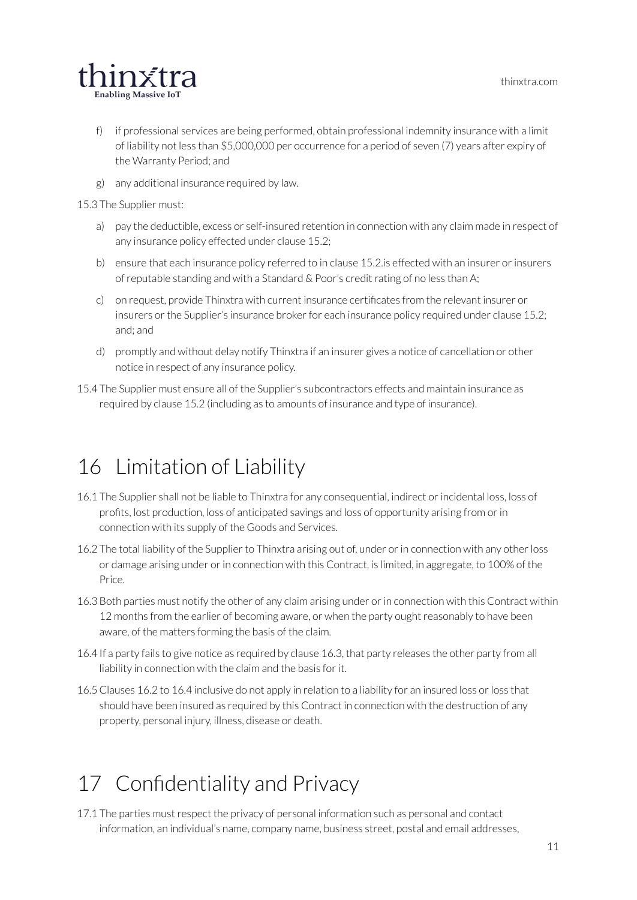

- f) if professional services are being performed, obtain professional indemnity insurance with a limit of liability not less than \$5,000,000 per occurrence for a period of seven (7) years after expiry of the Warranty Period; and
- g) any additional insurance required by law.

15.3 The Supplier must:

- a) pay the deductible, excess or self-insured retention in connection with any claim made in respect of any insurance policy effected under clause 15.2;
- b) ensure that each insurance policy referred to in clause 15.2 is effected with an insurer or insurers of reputable standing and with a Standard & Poor's credit rating of no less than A;
- c) on request, provide Thinxtra with current insurance certificates from the relevant insurer or insurers or the Supplier's insurance broker for each insurance policy required under clause 15.2; and; and
- d) promptly and without delay notify Thinxtra if an insurer gives a notice of cancellation or other notice in respect of any insurance policy.
- 15.4 The Supplier must ensure all of the Supplier's subcontractors effects and maintain insurance as required by clause 15.2 (including as to amounts of insurance and type of insurance).

#### <span id="page-11-0"></span>16 Limitation of Liability

- 16.1 The Supplier shall not be liable to Thinxtra for any consequential, indirect orincidental loss, loss of profits, lost production, loss of anticipated savings and loss of opportunity arising from orin connection with its supply of the Goods and Services.
- 16.2 The total liability of the Supplier to Thinxtra arising out of, under or in connection with any other loss or damage arising under orin connection with this Contract, is limited, in aggregate, to 100% of the Price.
- 16.3 Both parties must notify the other of any claim arising under orin connection with this Contract within 12 months from the earlier of becoming aware, or when the party ought reasonably to have been aware, of the matters forming the basis of the claim.
- 16.4 If a party fails to give notice as required by clause 16.3, that party releases the other party from all liability in connection with the claim and the basis for it.
- 16.5 Clauses 16.2 to 16.4 inclusive do not apply in relation to a liability for an insured loss orloss that should have been insured as required by this Contract in connection with the destruction of any property, personal injury, illness, disease or death.

# <span id="page-11-1"></span>17 Confidentiality and Privacy

17.1 The parties must respect the privacy of personal information such as personal and contact information, an individual's name, company name, business street, postal and email addresses,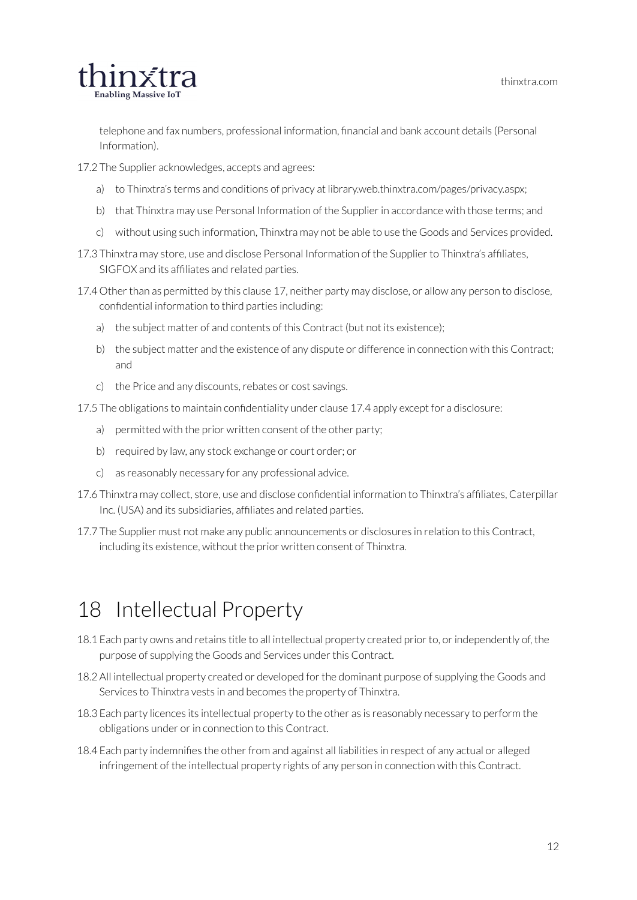

telephone and fax numbers, professional information, financial and bank account details (Personal Information).

- 17.2 The Supplier acknowledges, accepts and agrees:
	- a) to Thinxtra's terms and conditions of privacy at library.web.thinxtra.com/pages/privacy.aspx;
	- b) that Thinxtra may use Personal Information of the Supplier in accordance with those terms; and
	- c) without using such information, Thinxtra may not be able to use the Goods and Services provided.
- 17.3 Thinxtra may store, use and disclose Personal Information of the Supplier to Thinxtra's affiliates, SIGFOX and its affiliates and related parties.
- 17.4 Other than as permitted by this clause 17, neither party may disclose, or allow any person to disclose, confidential information to third parties including:
	- a) the subject matter of and contents of this Contract (but not its existence);
	- b) the subject matter and the existence of any dispute or difference in connection with this Contract; and
	- c) the Price and any discounts, rebates or cost savings.
- 17.5 The obligations to maintain confidentiality under clause 17.4 apply except for a disclosure:
	- a) permitted with the prior written consent of the other party;
	- b) required by law, any stock exchange or court order; or
	- c) as reasonably necessary for any professional advice.
- 17.6 Thinxtra may collect, store, use and disclose confidential information to Thinxtra's affiliates, Caterpillar Inc. (USA) and its subsidiaries, affiliates and related parties.
- 17.7 The Supplier must not make any public announcements or disclosures in relation to this Contract, including its existence, without the prior written consent of Thinxtra.

#### <span id="page-12-0"></span>18 Intellectual Property

- 18.1 Each party owns and retains title to all intellectual property created prior to, or independently of, the purpose of supplying the Goods and Services under this Contract.
- 18.2 All intellectual property created or developed forthe dominant purpose of supplying the Goods and Services to Thinxtra vests in and becomes the property of Thinxtra.
- 18.3 Each party licences its intellectual property to the other as is reasonably necessary to perform the obligations under or in connection to this Contract.
- 18.4 Each party indemnifies the other from and against all liabilities in respect of any actual or alleged infringement of the intellectual property rights of any person in connection with this Contract.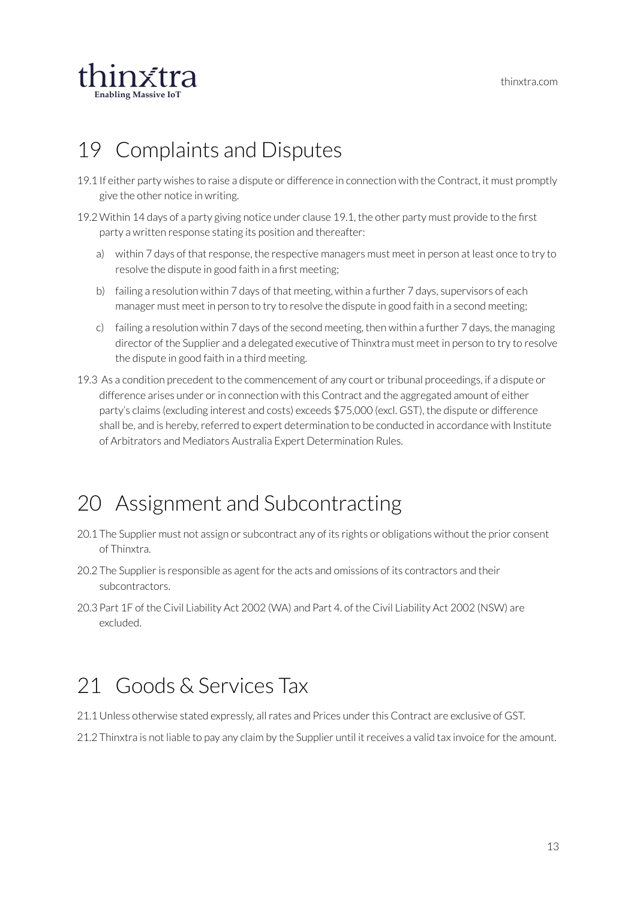

#### <span id="page-13-0"></span>19 Complaints and Disputes

- 19.1 If either party wishes to raise a dispute or difference in connection with the Contract, it must promptly give the other notice in writing.
- 19.2Within 14 days of a party giving notice under clause 19.1, the other party must provide to the first party a written response stating its position and thereafter:
	- a) within 7 days of that response, the respective managers must meet in person at least once to try to resolve the dispute in good faith in a first meeting;
	- b) failing a resolution within 7 days of that meeting, within a further 7 days, supervisors of each manager must meet in person to try to resolve the dispute in good faith in a second meeting;
	- c) failing a resolution within 7 days of the second meeting, then within a further 7 days, the managing director of the Supplier and a delegated executive of Thinxtra must meet in person to try to resolve the dispute in good faith in a third meeting.
- 19.3 As a condition precedent to the commencement of any court or tribunal proceedings, if a dispute or difference arises under or in connection with this Contract and the aggregated amount of either party's claims (excluding interest and costs) exceeds \$75,000 (excl. GST), the dispute or difference shall be, and is hereby, referred to expert determination to be conducted in accordance with Institute of Arbitrators and Mediators Australia Expert Determination Rules.

#### <span id="page-13-1"></span>20 Assignment and Subcontracting

- 20.1 The Supplier must not assign or subcontract any of its rights or obligations without the prior consent of Thinxtra.
- 20.2 The Supplier is responsible as agent for the acts and omissions of its contractors and their subcontractors.
- 20.3 Part 1F of the Civil Liability Act 2002 (WA) and Part 4. of the Civil Liability Act 2002 (NSW) are excluded.

#### <span id="page-13-2"></span>21 Goods & Services Tax

- 21.1 Unless otherwise stated expressly, allrates and Prices underthis Contract are exclusive of GST.
- 21.2 Thinxtra is not liable to pay any claim by the Supplier until it receives a valid tax invoice for the amount.